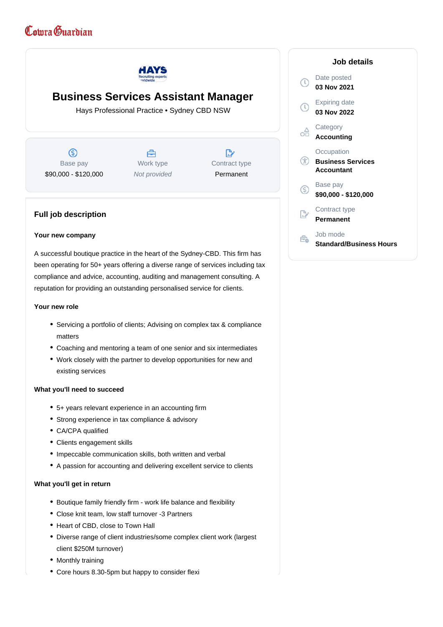# Comra Guardian



# **Business Services Assistant Manager**

Hays Professional Practice • Sydney CBD NSW

 $\circledS$ Base pay \$90,000 - \$120,000

A Work type Not provided

D, Contract type Permanent

# **Full job description**

#### **Your new company**

A successful boutique practice in the heart of the Sydney-CBD. This firm has been operating for 50+ years offering a diverse range of services including tax compliance and advice, accounting, auditing and management consulting. A reputation for providing an outstanding personalised service for clients.

#### **Your new role**

- Servicing a portfolio of clients; Advising on complex tax & compliance matters
- Coaching and mentoring a team of one senior and six intermediates
- Work closely with the partner to develop opportunities for new and existing services

#### **What you'll need to succeed**

- 5+ years relevant experience in an accounting firm
- Strong experience in tax compliance & advisory
- CA/CPA qualified
- Clients engagement skills
- Impeccable communication skills, both written and verbal
- A passion for accounting and delivering excellent service to clients

#### **What you'll get in return**

- Boutique family friendly firm work life balance and flexibility
- Close knit team, low staff turnover -3 Partners
- Heart of CBD, close to Town Hall
- Diverse range of client industries/some complex client work (largest client \$250M turnover)
- Monthly training
- Core hours 8.30-5pm but happy to consider flexi

## **Job details** Date posted  $\mathbb{C}$ **03 Nov 2021** Expiring date  $\left(\mathbb{Q}\right)$ **03 Nov 2022 Category** ôÔ **Accounting Occupation Business Services Accountant** Base pay (\$) **\$90,000 - \$120,000** Contract type **Permanent** Job mode  $\hat{\mathbf{e}}$ **Standard/Business Hours**